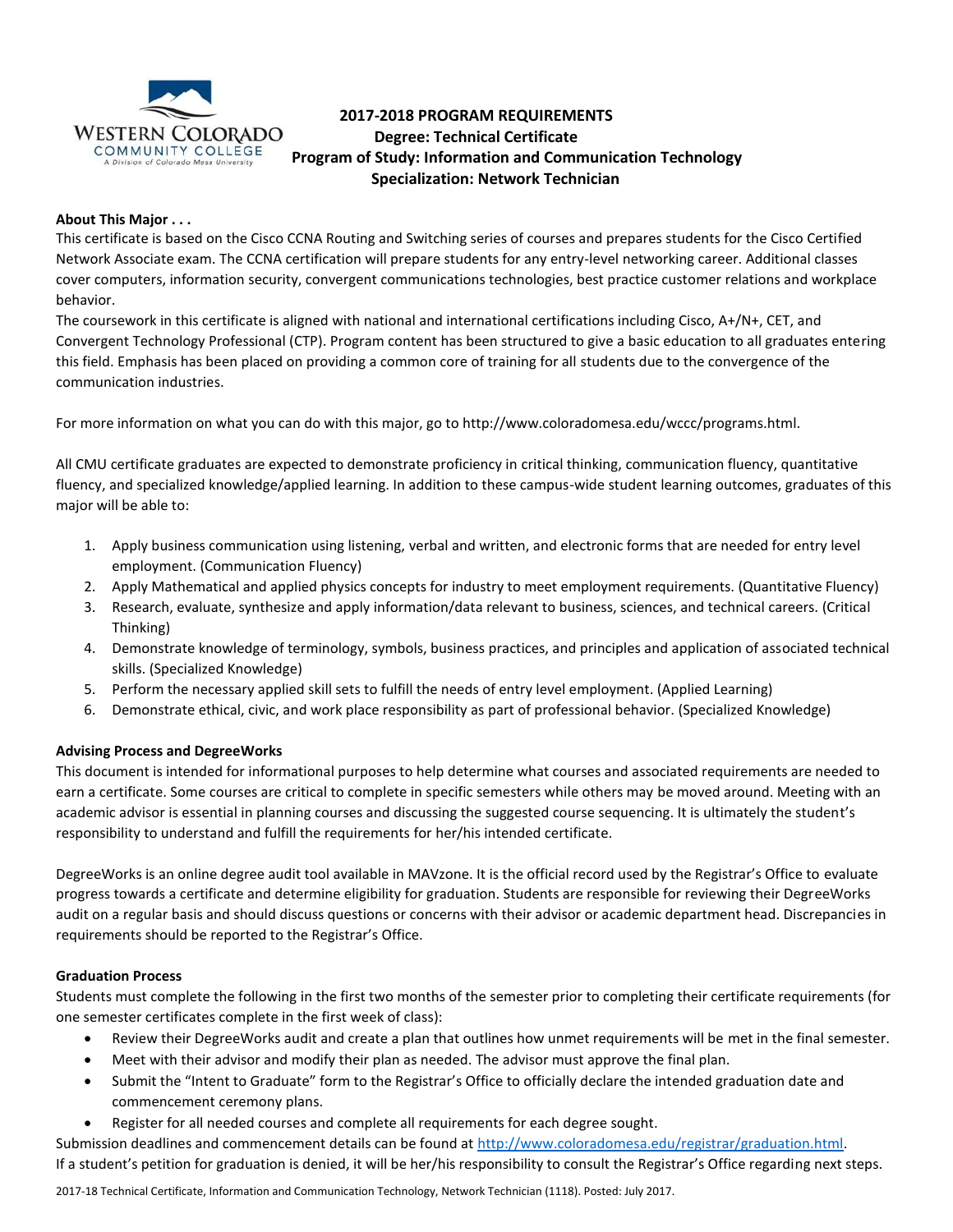

# **2017-2018 PROGRAM REQUIREMENTS Degree: Technical Certificate Program of Study: Information and Communication Technology Specialization: Network Technician**

# **About This Major . . .**

This certificate is based on the Cisco CCNA Routing and Switching series of courses and prepares students for the Cisco Certified Network Associate exam. The CCNA certification will prepare students for any entry-level networking career. Additional classes cover computers, information security, convergent communications technologies, best practice customer relations and workplace behavior.

The coursework in this certificate is aligned with national and international certifications including Cisco, A+/N+, CET, and Convergent Technology Professional (CTP). Program content has been structured to give a basic education to all graduates entering this field. Emphasis has been placed on providing a common core of training for all students due to the convergence of the communication industries.

For more information on what you can do with this major, go to http://www.coloradomesa.edu/wccc/programs.html.

All CMU certificate graduates are expected to demonstrate proficiency in critical thinking, communication fluency, quantitative fluency, and specialized knowledge/applied learning. In addition to these campus-wide student learning outcomes, graduates of this major will be able to:

- 1. Apply business communication using listening, verbal and written, and electronic forms that are needed for entry level employment. (Communication Fluency)
- 2. Apply Mathematical and applied physics concepts for industry to meet employment requirements. (Quantitative Fluency)
- 3. Research, evaluate, synthesize and apply information/data relevant to business, sciences, and technical careers. (Critical Thinking)
- 4. Demonstrate knowledge of terminology, symbols, business practices, and principles and application of associated technical skills. (Specialized Knowledge)
- 5. Perform the necessary applied skill sets to fulfill the needs of entry level employment. (Applied Learning)
- 6. Demonstrate ethical, civic, and work place responsibility as part of professional behavior. (Specialized Knowledge)

# **Advising Process and DegreeWorks**

This document is intended for informational purposes to help determine what courses and associated requirements are needed to earn a certificate. Some courses are critical to complete in specific semesters while others may be moved around. Meeting with an academic advisor is essential in planning courses and discussing the suggested course sequencing. It is ultimately the student's responsibility to understand and fulfill the requirements for her/his intended certificate.

DegreeWorks is an online degree audit tool available in MAVzone. It is the official record used by the Registrar's Office to evaluate progress towards a certificate and determine eligibility for graduation. Students are responsible for reviewing their DegreeWorks audit on a regular basis and should discuss questions or concerns with their advisor or academic department head. Discrepancies in requirements should be reported to the Registrar's Office.

# **Graduation Process**

Students must complete the following in the first two months of the semester prior to completing their certificate requirements (for one semester certificates complete in the first week of class):

- Review their DegreeWorks audit and create a plan that outlines how unmet requirements will be met in the final semester.
- Meet with their advisor and modify their plan as needed. The advisor must approve the final plan.
- Submit the "Intent to Graduate" form to the Registrar's Office to officially declare the intended graduation date and commencement ceremony plans.
- Register for all needed courses and complete all requirements for each degree sought.

Submission deadlines and commencement details can be found at [http://www.coloradomesa.edu/registrar/graduation.html.](http://www.coloradomesa.edu/registrar/graduation.html) If a student's petition for graduation is denied, it will be her/his responsibility to consult the Registrar's Office regarding next steps.

2017-18 Technical Certificate, Information and Communication Technology, Network Technician (1118). Posted: July 2017.